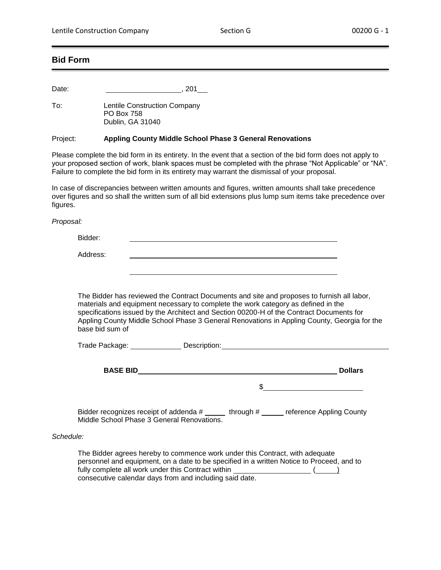## **Bid Form**

Date: 201

To: Lentile Construction Company PO Box 758 Dublin, GA 31040

## Project: **Appling County Middle School Phase 3 General Renovations**

Please complete the bid form in its entirety. In the event that a section of the bid form does not apply to your proposed section of work, blank spaces must be completed with the phrase "Not Applicable" or "NA". Failure to complete the bid form in its entirety may warrant the dismissal of your proposal.

In case of discrepancies between written amounts and figures, written amounts shall take precedence over figures and so shall the written sum of all bid extensions plus lump sum items take precedence over figures.

*Proposal:*

Bidder:

Address:

The Bidder has reviewed the Contract Documents and site and proposes to furnish all labor, materials and equipment necessary to complete the work category as defined in the specifications issued by the Architect and Section 00200-H of the Contract Documents for Appling County Middle School Phase 3 General Renovations in Appling County, Georgia for the base bid sum of

|           | Trade Package: Description:                                                                                                                                               |                |  |
|-----------|---------------------------------------------------------------------------------------------------------------------------------------------------------------------------|----------------|--|
|           |                                                                                                                                                                           | <b>Dollars</b> |  |
|           |                                                                                                                                                                           |                |  |
|           | Bidder recognizes receipt of addenda # _____ through # _____ reference Appling County<br>Middle School Phase 3 General Renovations.                                       |                |  |
| Schedule: |                                                                                                                                                                           |                |  |
|           | The Bidder agrees hereby to commence work under this Contract, with adequate<br>personnel and equipment, an a data to be specified in a written Notice to Present, and to |                |  |

personnel and equipment, on a date to be specified in a written Notice to Proceed, and to fully complete all work under this Contract within  $\sqrt{$ consecutive calendar days from and including said date.